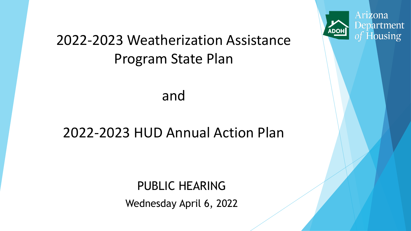# 2022-2023 Weatherization Assistance Program State Plan

and

## 2022-2023 HUD Annual Action Plan

PUBLIC HEARING Wednesday April 6, 2022



**ADO**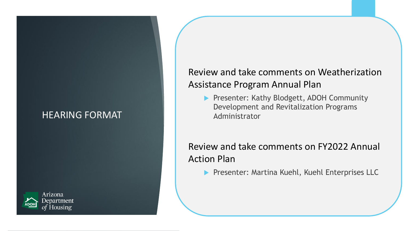### HEARING FORMAT



### Review and take comments on Weatherization Assistance Program Annual Plan

Presenter: Kathy Blodgett, ADOH Community Development and Revitalization Programs Administrator

### Review and take comments on FY2022 Annual Action Plan

**Presenter: Martina Kuehl, Kuehl Enterprises LLC**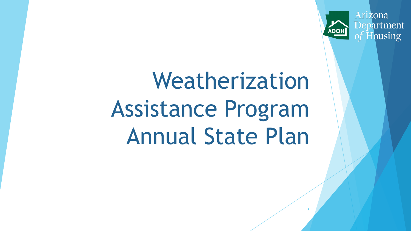Arizona Department of Housing

**ADO** 

3

# Weatherization Assistance Program Annual State Plan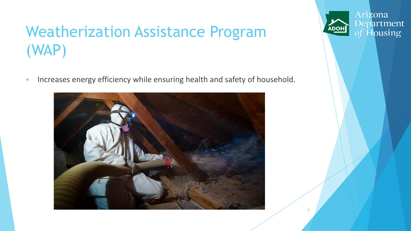# Weatherization Assistance Program (WAP)

**·** Increases energy efficiency while ensuring health and safety of household.



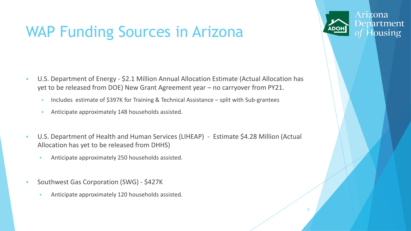# WAP Funding Sources in Arizona

- U.S. Department of Energy \$2.1 Million Annual Allocation Estimate (Actual Allocation has yet to be released from DOE) New Grant Agreement year – no carryover from PY21.
	- **EXECUTE:** Includes estimate of \$397K for Training & Technical Assistance split with Sub-grantees
	- **EXECUTE:** Anticipate approximately 148 households assisted.
- U.S. Department of Health and Human Services (LIHEAP) Estimate \$4.28 Million (Actual Allocation has yet to be released from DHHS)
	- Anticipate approximately 250 households assisted.
- Southwest Gas Corporation (SWG) \$427K
	- Anticipate approximately 120 households assisted.



5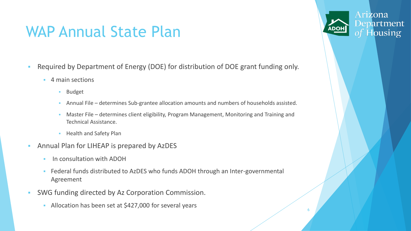# WAP Annual State Plan

- Required by Department of Energy (DOE) for distribution of DOE grant funding only.
	- 4 main sections
		- **Budget**
		- Annual File determines Sub-grantee allocation amounts and numbers of households assisted.
		- Master File determines client eligibility, Program Management, Monitoring and Training and Technical Assistance.
		- **Health and Safety Plan**
- Annual Plan for LIHEAP is prepared by AzDES
	- In consultation with ADOH
	- Eederal funds distributed to AzDES who funds ADOH through an Inter-governmental Agreement
- SWG funding directed by Az Corporation Commission.
	- Allocation has been set at \$427,000 for several years



6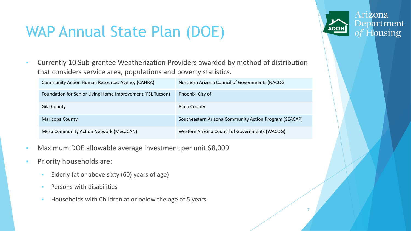# WAP Annual State Plan (DOE)

**• Currently 10 Sub-grantee Weatherization Providers awarded by method of distribution** that considers service area, populations and poverty statistics.

| <b>Community Action Human Resources Agency (CAHRA)</b>     | Northern Arizona Council of Governments (NACOG         |
|------------------------------------------------------------|--------------------------------------------------------|
| Foundation for Senior Living Home Improvement (FSL Tucson) | Phoenix, City of                                       |
| Gila County                                                | Pima County                                            |
| <b>Maricopa County</b>                                     | Southeastern Arizona Community Action Program (SEACAP) |
| <b>Mesa Community Action Network (MesaCAN)</b>             | Western Arizona Council of Governments (WACOG)         |

7

Arizona

Department

- Maximum DOE allowable average investment per unit \$8,009
- Priority households are:
	- **Elderly (at or above sixty (60) years of age)**
	- **•** Persons with disabilities
	- Households with Children at or below the age of 5 years.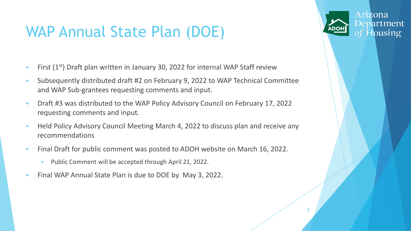# WAP Annual State Plan (DOE)

- **EXECT** First  $(1^{st})$  Draft plan written in January 30, 2022 for internal WAP Staff review
- Subsequently distributed draft #2 on February 9, 2022 to WAP Technical Committee and WAP Sub-grantees requesting comments and input.
- Draft #3 was distributed to the WAP Policy Advisory Council on February 17, 2022 requesting comments and input.
- **Held Policy Advisory Council Meeting March 4, 2022 to discuss plan and receive any** recommendations

8

Arizona

**Department** 

- Final Draft for public comment was posted to ADOH website on March 16, 2022.
	- Public Comment will be accepted through April 21, 2022.
- Final WAP Annual State Plan is due to DOE by May 3, 2022.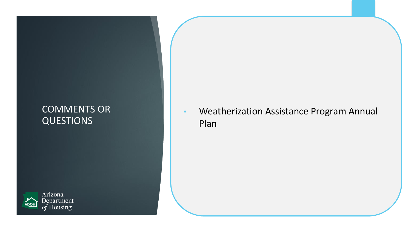### COMMENTS OR QUESTIONS



• Weatherization Assistance Program Annual Plan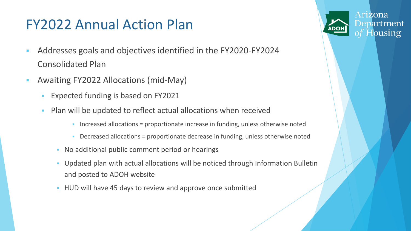# FY2022 Annual Action Plan

- Addresses goals and objectives identified in the FY2020-FY2024 Consolidated Plan
- **Awaiting FY2022 Allocations (mid-May)** 
	- Expected funding is based on FY2021
	- **Plan will be updated to reflect actual allocations when received** 
		- Increased allocations = proportionate increase in funding, unless otherwise noted
		- Decreased allocations = proportionate decrease in funding, unless otherwise noted
		- No additional public comment period or hearings
		- Updated plan with actual allocations will be noticed through Information Bulletin and posted to ADOH website
		- **.** HUD will have 45 days to review and approve once submitted

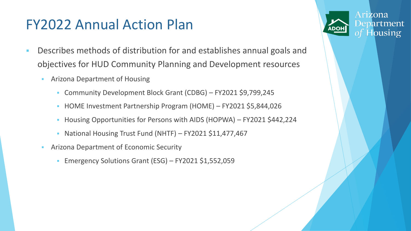# FY2022 Annual Action Plan

- Describes methods of distribution for and establishes annual goals and objectives for HUD Community Planning and Development resources
	- **EXECUTE:** Arizona Department of Housing
		- Community Development Block Grant (CDBG) FY2021 \$9,799,245
		- HOME Investment Partnership Program (HOME) FY2021 \$5,844,026
		- Housing Opportunities for Persons with AIDS (HOPWA) FY2021 \$442,224
		- National Housing Trust Fund (NHTF) FY2021 \$11,477,467
	- **EXECOTE:** Arizona Department of Economic Security
		- **Emergency Solutions Grant (ESG) FY2021 \$1,552,059**

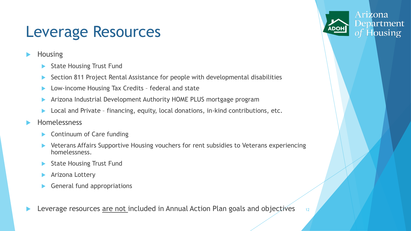# Leverage Resources

- **Housing** 
	- State Housing Trust Fund
	- Section 811 Project Rental Assistance for people with developmental disabilities
	- Low-income Housing Tax Credits federal and state
	- Arizona Industrial Development Authority HOME PLUS mortgage program
	- Local and Private financing, equity, local donations, in-kind contributions, etc.
- Homelessness
	- Continuum of Care funding
	- Veterans Affairs Supportive Housing vouchers for rent subsidies to Veterans experiencing homelessness.
	- State Housing Trust Fund
	- Arizona Lottery
	- General fund appropriations

Leverage resources are not included in Annual Action Plan goals and objectives 12

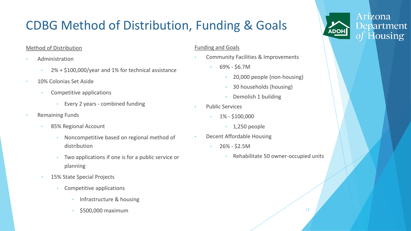# CDBG Method of Distribution, Funding & Goals

#### Method of Distribution

- Administration
	- 2% + \$100,000/year and 1% for technical assistance
- 10% Colonias Set Aside
	- Competitive applications
		- Every 2 years combined funding
- Remaining Funds
	- 85% Regional Account
		- Noncompetitive based on regional method of distribution
		- Two applications if one is for a public service or planning
	- 15% State Special Projects
		- Competitive applications
			- Infrastructure & housing
			- \$500,000 maximum

#### Funding and Goals

- Community Facilities & Improvements
	- 69% \$6.7M
		- 20,000 people (non-housing)
		- 30 households (housing)
		- Demolish 1 building
- Public Services
	- 1% \$100,000
		- $\cdot$  1,250 people
- Decent Affordable Housing
	- $\cdot$  26% \$2.5M
		- Rehabilitate 50 owner-occupied units

Arizona

**ADOH** 

Department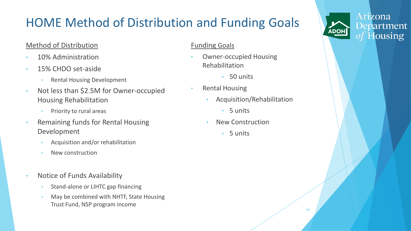# HOME Method of Distribution and Funding Goals

#### Method of Distribution

- 10% Administration
- 15% CHDO set-aside
	- Rental Housing Development
- Not less than \$2.5M for Owner-occupied Housing Rehabilitation
	- Priority to rural areas
- Remaining funds for Rental Housing Development
	- Acquisition and/or rehabilitation
	- New construction
- Notice of Funds Availability
	- Stand-alone or LIHTC gap financing
	- May be combined with NHTF, State Housing Trust Fund, NSP program income

#### Funding Goals

- Owner-occupied Housing Rehabilitation
	- 50 units
- Rental Housing
	- Acquisition/Rehabilitation
		- 5 units
	- New Construction
		- 5 units

14

Arizona Department of Housing

**ADOH**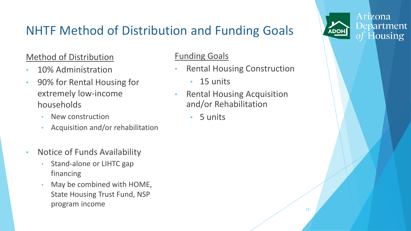# NHTF Method of Distribution and Funding Goals

### Method of Distribution

- 10% Administration
- 90% for Rental Housing for extremely low-income households
	- New construction
	- Acquisition and/or rehabilitation
- Notice of Funds Availability
	- Stand-alone or LIHTC gap financing
	- May be combined with HOME, State Housing Trust Fund, NSP program income

### Funding Goals

- **Rental Housing Construction** 
	- 15 units
- Rental Housing Acquisition and/or Rehabilitation
	- 5 units

Arizona

**ADOH** 

Department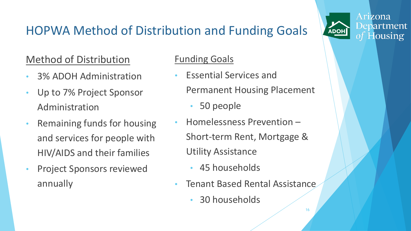# HOPWA Method of Distribution and Funding Goals

### Method of Distribution

- 3% ADOH Administration
- Up to 7% Project Sponsor Administration
- Remaining funds for housing and services for people with HIV/AIDS and their families
- Project Sponsors reviewed annually

### Funding Goals

- Essential Services and Permanent Housing Placement
	- 50 people
- Homelessness Prevention Short-term Rent, Mortgage & Utility Assistance
	- 45 households
- Tenant Based Rental Assistance
	- 30 households

16

Arizona

**ADOH** 

Department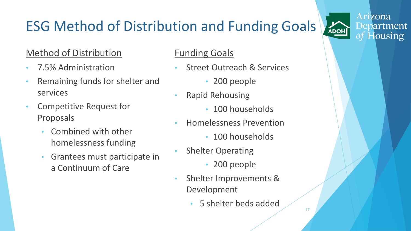# ESG Method of Distribution and Funding Goals

### Method of Distribution

- 7.5% Administration
- Remaining funds for shelter and services
- Competitive Request for Proposals
	- Combined with other homelessness funding
	- Grantees must participate in a Continuum of Care

### Funding Goals

- **Street Outreach & Services** 
	- 200 people
- Rapid Rehousing
	- 100 households
- Homelessness Prevention
	- 100 households
- **Shelter Operating** 
	- 200 people
- Shelter Improvements & Development
	- 5 shelter beds added

17

Arizona Department of Housing

ADOH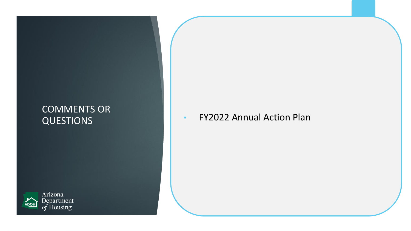### COMMENTS OR QUESTIONS



### • FY2022 Annual Action Plan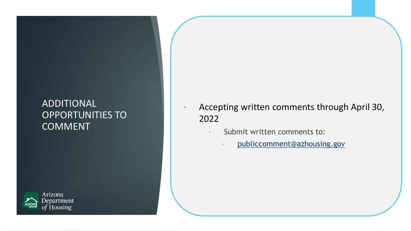### ADDITIONAL OPPORTUNITIES TO **COMMENT**



- Accepting written comments through April 30, 2022
	- Submit written comments to:
		- publiccomment@azhousing.gov